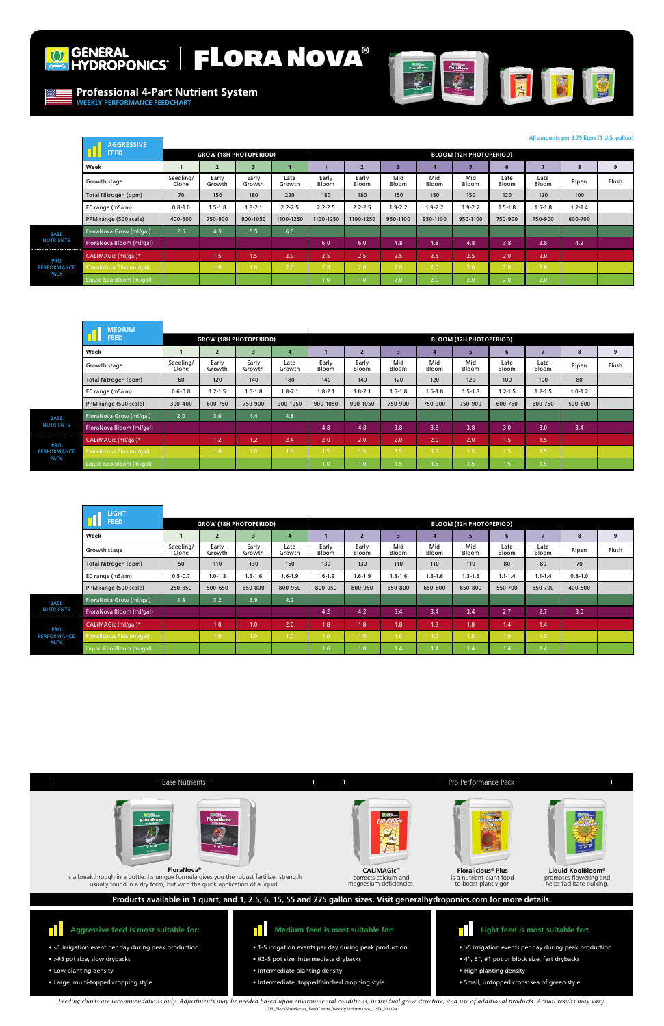

# GENERAL FLORA NOVA®

- ≤1 irrigation event per day during peak production
- >#5 pot size, slow drybacks
- Low planting density
- Large, multi-topped cropping style

#### **Aggressive feed is most suitable for: TH**

- 1-5 irrigation events per day during peak production
- #2-5 pot size, intermediate drybacks
- Intermediate planting density
- Intermediate, topped/pinched cropping style



**Liquid KoolBloom®** promotes flowering and helps facilitate bulking.



- >5 irrigation events per day during peak production
- 4", 6", #1 pot or block size, fast drybacks
- High planting density
- Small, untopped crops: sea of green style







is a nutrient plant food to boost plant vigor.

## **Products available in 1 quart, and 1, 2.5, 6, 15, 55 and 275 gallon sizes. Visit generalhydroponics.com for more details.**

**Professional 4-Part Nutrient System WEEKLY PERFORMANCE FEEDCHART**



*Feeding charts are recommendations only. Adjustments may be needed based upon environmental conditions, individual grow structure, and use of additional products. Actual results may vary.*  GH\_FloraNovaSeries\_FeedCharts\_WeeklyPerformance\_USD\_201124



**FloraNova®** is a breakthrough in a bottle. Its unique formula gives you the robust fertilizer strength usually found in a dry form, but with the quick application of a liquid.

|                                                 | <b>AGGRESSIVE</b>          |                    |                               |                         |                |                |                |                                |              |              |               |               |             |       |
|-------------------------------------------------|----------------------------|--------------------|-------------------------------|-------------------------|----------------|----------------|----------------|--------------------------------|--------------|--------------|---------------|---------------|-------------|-------|
|                                                 | <b>FEED</b>                |                    | <b>GROW (18H PHOTOPERIOD)</b> |                         |                |                |                | <b>BLOOM (12H PHOTOPERIOD)</b> |              |              |               |               |             |       |
|                                                 | Week                       |                    | $\overline{2}$                | $\overline{\mathbf{3}}$ | 4              |                |                | 3                              |              | 5            |               |               | 8           | 9     |
|                                                 | Growth stage               | Seedling/<br>Clone | Early<br>Growth               | Early<br>Growth         | Late<br>Growth | Early<br>Bloom | Early<br>Bloom | Mid<br>Bloom                   | Mid<br>Bloom | Mid<br>Bloom | Late<br>Bloom | Late<br>Bloom | Ripen       | Flush |
|                                                 | Total Nitrogen (ppm)       | 70                 | 150                           | 180                     | 220            | 180            | 180            | 150                            | 150          | 150          | 120           | 120           | 100         |       |
|                                                 | EC range (mS/cm)           | $0.8 - 1.0$        | $1.5 - 1.8$                   | $1.8 - 2.1$             | $2.2 - 2.5$    | $2.2 - 2.5$    | $2.2 - 2.5$    | $1.9 - 2.2$                    | $1.9 - 2.2$  | $1.9 - 2.2$  | $1.5 - 1.8$   | $1.5 - 1.8$   | $1.2 - 1.4$ |       |
|                                                 | PPM range (500 scale)      | 400-500            | 750-900                       | 900-1050                | 1100-1250      | 1100-1250      | 1100-1250      | 950-1100                       | 950-1100     | 950-1100     | 750-900       | 750-900       | 600-700     |       |
| <b>BASE</b><br><b>NUTRIENTS</b>                 | FloraNova Grow (ml/gal)    | 2.5                | 4.5                           | 5.5                     | 6.0            |                |                |                                |              |              |               |               |             |       |
|                                                 | FloraNova Bloom (ml/gal)   |                    |                               |                         |                | 6.0            | 6.0            | 4.8                            | 4.8          | 4.8          | 3.8           | 3.8           | 4.2         |       |
| <b>PRO</b><br><b>PERFORMANCE</b><br><b>PACK</b> | CALIMAGic (ml/gal)*        |                    | 1.5                           | 1.5                     | 3.0            | 2.5            | 2.5            | 2.5                            | 2.5          | 2.5          | 2.0           | 2.0           |             |       |
|                                                 | Floralicious Plus (ml/gal) |                    | 1.0                           | 1.0                     | 2.0            | 2.0            | 2.0            | 2.0                            | 2.0          | 2.0          | 2.0           | 2.0           |             |       |
|                                                 | Liquid KoolBloom (ml/gal)  |                    |                               |                         |                | 1.0            | 1.0            | 2.0                            | 2.0          | 2.0          | 2.0           | 2.0           |             |       |

|                                                     | <b>MEDIUM</b>              |                    |                               |                 |                  |                                |                  |              |                  |              |                  |               |             |       |
|-----------------------------------------------------|----------------------------|--------------------|-------------------------------|-----------------|------------------|--------------------------------|------------------|--------------|------------------|--------------|------------------|---------------|-------------|-------|
|                                                     | <b>FEED</b>                |                    | <b>GROW (18H PHOTOPERIOD)</b> |                 |                  | <b>BLOOM (12H PHOTOPERIOD)</b> |                  |              |                  |              |                  |               |             |       |
|                                                     | Week                       |                    | $\overline{2}$                | 3               | 4                |                                |                  | 3            |                  | 5            |                  |               | 8           | 9     |
|                                                     | Growth stage               | Seedling/<br>Clone | Early<br>Growth               | Early<br>Growth | Late<br>Growth   | Early<br>Bloom                 | Early<br>Bloom   | Mid<br>Bloom | Mid<br>Bloom     | Mid<br>Bloom | Late<br>Bloom    | Late<br>Bloom | Ripen       | Flush |
|                                                     | Total Nitrogen (ppm)       | 60                 | 120                           | 140             | 180              | 140                            | 140              | 120          | 120              | 120          | 100              | 100           | 80          |       |
|                                                     | EC range (mS/cm)           | $0.6 - 0.8$        | $1.2 - 1.5$                   | $1.5 - 1.8$     | $1.8 - 2.1$      | $1.8 - 2.1$                    | $1.8 - 2.1$      | $1.5 - 1.8$  | $1.5 - 1.8$      | $1.5 - 1.8$  | $1.2 - 1.5$      | $1.2 - 1.5$   | $1.0 - 1.2$ |       |
|                                                     | PPM range (500 scale)      | 300-400            | 600-750                       | 750-900         | 900-1050         | 900-1050                       | 900-1050         | 750-900      | 750-900          | 750-900      | 600-750          | 600-750       | 500-600     |       |
| <b>BASE</b>                                         | FloraNova Grow (ml/gal)    | 2.0                | 3.6                           | 4.4             | 4.8              |                                |                  |              |                  |              |                  |               |             |       |
| <b>NUTRIENTS</b>                                    | FloraNova Bloom (ml/gal)   |                    |                               |                 |                  | 4.8                            | 4.8              | 3.8          | 3.8              | 3.8          | 3.0              | 3.0           | 3.4         |       |
| <br><b>PRO</b><br><b>PERFORMANCE</b><br><b>PACK</b> | CALIMAGic (ml/gal)*        |                    | $1.2^{\circ}$                 | 1.2             | 2.4              | 2.0                            | 2.0              | 2.0          | 2.0              | 2.0          | 1.5              | 1.5           |             |       |
|                                                     | Floralicious Plus (ml/gal) |                    | 1.0 <sub>1</sub>              | 1.0             | 1.5 <sub>1</sub> | 1.5                            | 1.5 <sub>1</sub> | 1.5          | 1.5 <sub>1</sub> | 1.5          | 1.5              | 1.5           |             |       |
|                                                     | Liquid KoolBloom (ml/gal)  |                    |                               |                 |                  | 1.0                            | 1.0 <sub>1</sub> | 1.5          | 1.5 <sub>1</sub> | 1.5          | 1.5 <sub>1</sub> | 1.5           |             |       |

|                                                                                      | <b>LIGHT</b>               |                    |                               |                         |                |                |                  |              |              |                                |               |               |             |       |
|--------------------------------------------------------------------------------------|----------------------------|--------------------|-------------------------------|-------------------------|----------------|----------------|------------------|--------------|--------------|--------------------------------|---------------|---------------|-------------|-------|
|                                                                                      | <b>FEED</b>                |                    | <b>GROW (18H PHOTOPERIOD)</b> |                         |                |                |                  |              |              | <b>BLOOM (12H PHOTOPERIOD)</b> |               |               |             |       |
|                                                                                      | Week                       |                    | $\overline{2}$                | $\overline{\mathbf{3}}$ |                |                |                  | 3            |              | 5                              |               |               |             | 9     |
|                                                                                      | Growth stage               | Seedling/<br>Clone | Early<br>Growth               | Early<br>Growth         | Late<br>Growth | Early<br>Bloom | Early<br>Bloom   | Mid<br>Bloom | Mid<br>Bloom | Mid<br>Bloom                   | Late<br>Bloom | Late<br>Bloom | Ripen       | Flush |
|                                                                                      | Total Nitrogen (ppm)       | 50                 | 110                           | 130                     | 150            | 130            | 130              | 110          | 110          | 110                            | 80            | 80            | 70          |       |
|                                                                                      | EC range (mS/cm)           | $0.5 - 0.7$        | $1.0 - 1.3$                   | $1.3 - 1.6$             | $1.6 - 1.9$    | $1.6 - 1.9$    | $1.6 - 1.9$      | $1.3 - 1.6$  | $1.3 - 1.6$  | $1.3 - 1.6$                    | $1.1 - 1.4$   | $1.1 - 1.4$   | $0.8 - 1.0$ |       |
|                                                                                      | PPM range (500 scale)      | 250-350            | 500-650                       | 650-800                 | 800-950        | 800-950        | 800-950          | 650-800      | 650-800      | 650-800                        | 550-700       | 550-700       | 400-500     |       |
| <b>BASE</b><br><b>NUTRIENTS</b>                                                      | FloraNova Grow (ml/gal)    | 1.8                | 3.2                           | 3.9                     | 4.2            |                |                  |              |              |                                |               |               |             |       |
|                                                                                      | FloraNova Bloom (ml/gal)   |                    |                               |                         |                | 4.2            | 4.2              | 3.4          | 3.4          | 3.4                            | 2.7           | 2.7           | 3.0         |       |
| ,,,,,,,,,,,,,,,,,,,,,,,,,,,,,,,,,<br><b>PRO</b><br><b>PERFORMANCE</b><br><b>PACK</b> | CALIMAGic (ml/gal)*        |                    | 1.0 <sub>1</sub>              | 1.0                     | 2.0            | 1.8            | 1.8 <sup>°</sup> | 1.8          | 1.8          | 1.8                            | 1.4           | 1.4           |             |       |
|                                                                                      | Floralicious Plus (ml/gal) |                    | 1.0                           | 1.0                     | 1.0            | 1.0            | 1.0              | 1.0          | 1.0          | 1.0                            | 1.0           | 1.0           |             |       |
|                                                                                      | Liquid KoolBloom (ml/gal)  |                    |                               |                         |                | 1.0            | 1.0              | 1.4          | 1.4          | 1.4                            | 1.4           | 1.4           |             |       |

## Base Nutrients **Pro Performance Pack**

### **All amounts per 3.79 liters (1 U.S. gallon)**